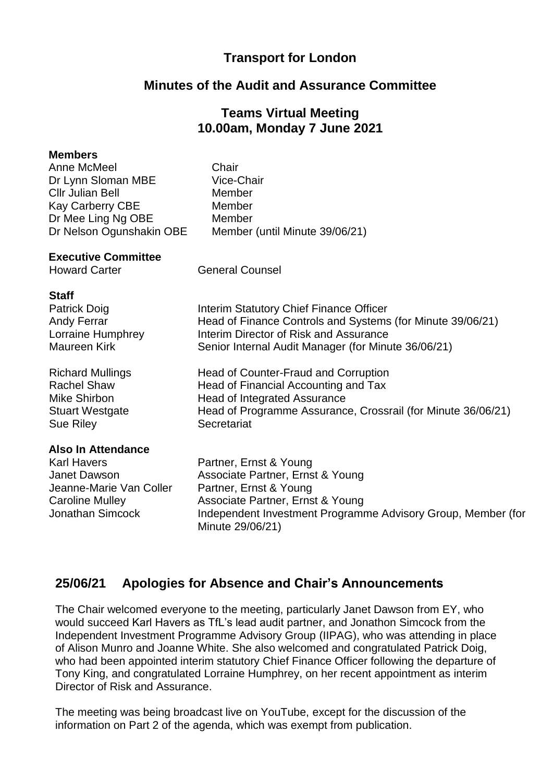# **Transport for London**

## **Minutes of the Audit and Assurance Committee**

# **Teams Virtual Meeting 10.00am, Monday 7 June 2021**

#### **Members** Anne McMeel Dr Lynn Sloman MBE Cllr Julian Bell Chair Vice-Chair Member Kay Carberry CBE Member Dr Mee Ling Ng OBE Dr Nelson Ogunshakin OBE Member Member (until Minute 39/06/21) **Executive Committee** Howard Carter **General Counsel Staff** Patrick Doig **Interim Statutory Chief Finance Officer** Andy Ferrar **Head of Finance Controls and Systems (for Minute 39/06/21)** Lorraine Humphrey **Interim Director of Risk and Assurance** Maureen Kirk Senior Internal Audit Manager (for Minute 36/06/21) Richard Mullings **Head of Counter-Fraud and Corruption** Rachel Shaw **Head of Financial Accounting and Tax** Mike Shirbon Stuart Westgate Head of Integrated Assurance Head of Programme Assurance, Crossrail (for Minute 36/06/21) Sue Riley **Secretariat Also In Attendance** Karl Havers **Partner, Ernst & Young** Janet Dawson Jeanne-Marie Van Coller Caroline Mulley Associate Partner, Ernst & Young Partner, Ernst & Young Associate Partner, Ernst & Young Jonathan Simcock Independent Investment Programme Advisory Group, Member (for Minute 29/06/21)

## **25/06/21 Apologies for Absence and Chair's Announcements**

The Chair welcomed everyone to the meeting, particularly Janet Dawson from EY, who would succeed Karl Havers as TfL's lead audit partner, and Jonathon Simcock from the Independent Investment Programme Advisory Group (IIPAG), who was attending in place of Alison Munro and Joanne White. She also welcomed and congratulated Patrick Doig, who had been appointed interim statutory Chief Finance Officer following the departure of Tony King, and congratulated Lorraine Humphrey, on her recent appointment as interim Director of Risk and Assurance.

The meeting was being broadcast live on YouTube, except for the discussion of the information on Part 2 of the agenda, which was exempt from publication.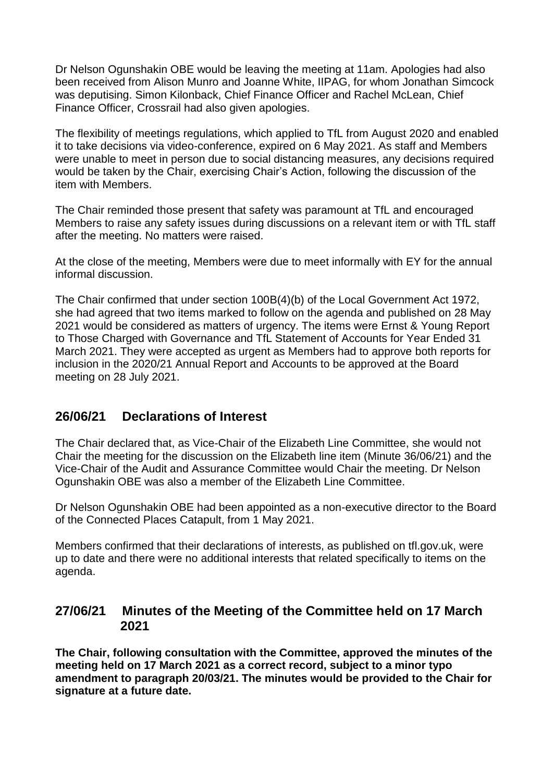Dr Nelson Ogunshakin OBE would be leaving the meeting at 11am. Apologies had also been received from Alison Munro and Joanne White, IIPAG, for whom Jonathan Simcock was deputising. Simon Kilonback, Chief Finance Officer and Rachel McLean, Chief Finance Officer, Crossrail had also given apologies.

The flexibility of meetings regulations, which applied to TfL from August 2020 and enabled it to take decisions via video-conference, expired on 6 May 2021. As staff and Members were unable to meet in person due to social distancing measures, any decisions required would be taken by the Chair, exercising Chair's Action, following the discussion of the item with Members.

The Chair reminded those present that safety was paramount at TfL and encouraged Members to raise any safety issues during discussions on a relevant item or with TfL staff after the meeting. No matters were raised.

At the close of the meeting, Members were due to meet informally with EY for the annual informal discussion.

The Chair confirmed that under section 100B(4)(b) of the Local Government Act 1972, she had agreed that two items marked to follow on the agenda and published on 28 May 2021 would be considered as matters of urgency. The items were Ernst & Young Report to Those Charged with Governance and TfL Statement of Accounts for Year Ended 31 March 2021. They were accepted as urgent as Members had to approve both reports for inclusion in the 2020/21 Annual Report and Accounts to be approved at the Board meeting on 28 July 2021.

# **26/06/21 Declarations of Interest**

The Chair declared that, as Vice-Chair of the Elizabeth Line Committee, she would not Chair the meeting for the discussion on the Elizabeth line item (Minute 36/06/21) and the Vice-Chair of the Audit and Assurance Committee would Chair the meeting. Dr Nelson Ogunshakin OBE was also a member of the Elizabeth Line Committee.

Dr Nelson Ogunshakin OBE had been appointed as a non-executive director to the Board of the Connected Places Catapult, from 1 May 2021.

Members confirmed that their declarations of interests, as published on tfl.gov.uk, were up to date and there were no additional interests that related specifically to items on the agenda.

## **27/06/21 Minutes of the Meeting of the Committee held on 17 March 2021**

**The Chair, following consultation with the Committee, approved the minutes of the meeting held on 17 March 2021 as a correct record, subject to a minor typo amendment to paragraph 20/03/21. The minutes would be provided to the Chair for signature at a future date.**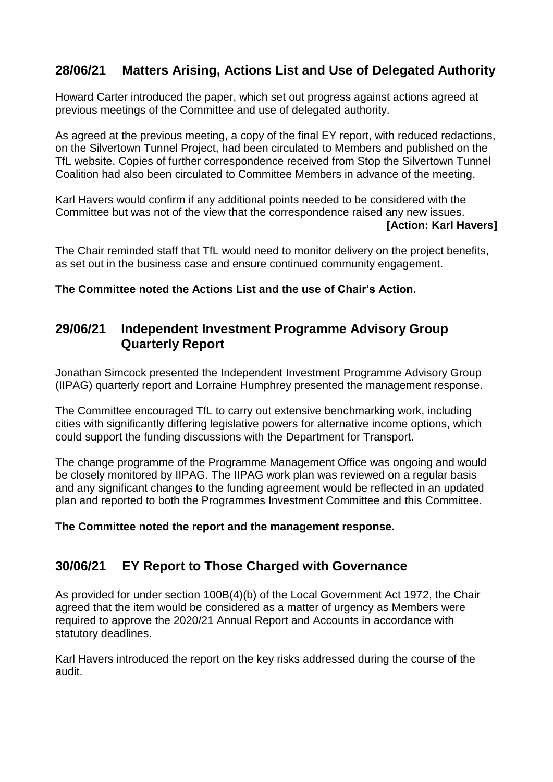# **28/06/21 Matters Arising, Actions List and Use of Delegated Authority**

Howard Carter introduced the paper, which set out progress against actions agreed at previous meetings of the Committee and use of delegated authority.

As agreed at the previous meeting, a copy of the final EY report, with reduced redactions, on the Silvertown Tunnel Project, had been circulated to Members and published on the TfL website. Copies of further correspondence received from Stop the Silvertown Tunnel Coalition had also been circulated to Committee Members in advance of the meeting.

Karl Havers would confirm if any additional points needed to be considered with the Committee but was not of the view that the correspondence raised any new issues. **[Action: Karl Havers]**

The Chair reminded staff that TfL would need to monitor delivery on the project benefits, as set out in the business case and ensure continued community engagement.

**The Committee noted the Actions List and the use of Chair's Action.**

# **29/06/21 Independent Investment Programme Advisory Group Quarterly Report**

Jonathan Simcock presented the Independent Investment Programme Advisory Group (IIPAG) quarterly report and Lorraine Humphrey presented the management response.

The Committee encouraged TfL to carry out extensive benchmarking work, including cities with significantly differing legislative powers for alternative income options, which could support the funding discussions with the Department for Transport.

The change programme of the Programme Management Office was ongoing and would be closely monitored by IIPAG. The IIPAG work plan was reviewed on a regular basis and any significant changes to the funding agreement would be reflected in an updated plan and reported to both the Programmes Investment Committee and this Committee.

**The Committee noted the report and the management response.**

# **30/06/21 EY Report to Those Charged with Governance**

As provided for under section 100B(4)(b) of the Local Government Act 1972, the Chair agreed that the item would be considered as a matter of urgency as Members were required to approve the 2020/21 Annual Report and Accounts in accordance with statutory deadlines.

Karl Havers introduced the report on the key risks addressed during the course of the audit.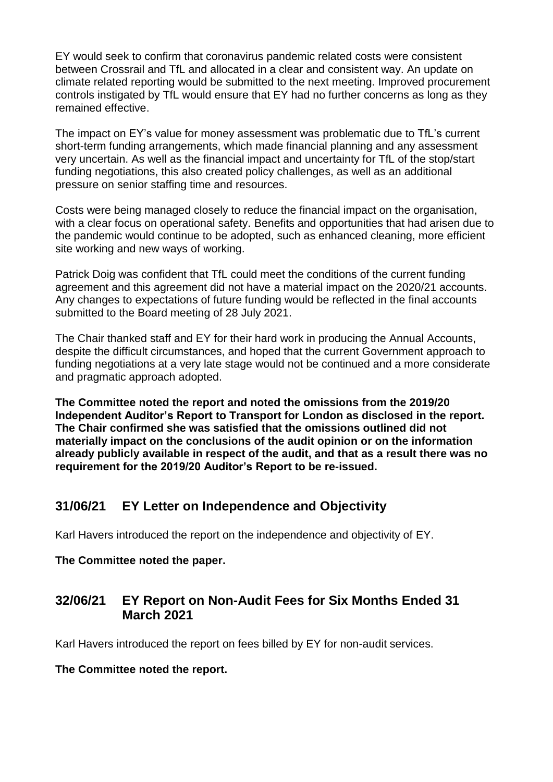EY would seek to confirm that coronavirus pandemic related costs were consistent between Crossrail and TfL and allocated in a clear and consistent way. An update on climate related reporting would be submitted to the next meeting. Improved procurement controls instigated by TfL would ensure that EY had no further concerns as long as they remained effective.

The impact on EY's value for money assessment was problematic due to TfL's current short-term funding arrangements, which made financial planning and any assessment very uncertain. As well as the financial impact and uncertainty for TfL of the stop/start funding negotiations, this also created policy challenges, as well as an additional pressure on senior staffing time and resources.

Costs were being managed closely to reduce the financial impact on the organisation, with a clear focus on operational safety. Benefits and opportunities that had arisen due to the pandemic would continue to be adopted, such as enhanced cleaning, more efficient site working and new ways of working.

Patrick Doig was confident that TfL could meet the conditions of the current funding agreement and this agreement did not have a material impact on the 2020/21 accounts. Any changes to expectations of future funding would be reflected in the final accounts submitted to the Board meeting of 28 July 2021.

The Chair thanked staff and EY for their hard work in producing the Annual Accounts, despite the difficult circumstances, and hoped that the current Government approach to funding negotiations at a very late stage would not be continued and a more considerate and pragmatic approach adopted.

**The Committee noted the report and noted the omissions from the 2019/20 Independent Auditor's Report to Transport for London as disclosed in the report. The Chair confirmed she was satisfied that the omissions outlined did not materially impact on the conclusions of the audit opinion or on the information already publicly available in respect of the audit, and that as a result there was no requirement for the 2019/20 Auditor's Report to be re-issued.**

# **31/06/21 EY Letter on Independence and Objectivity**

Karl Havers introduced the report on the independence and objectivity of EY.

### **The Committee noted the paper.**

# **32/06/21 EY Report on Non-Audit Fees for Six Months Ended 31 March 2021**

Karl Havers introduced the report on fees billed by EY for non-audit services.

### **The Committee noted the report.**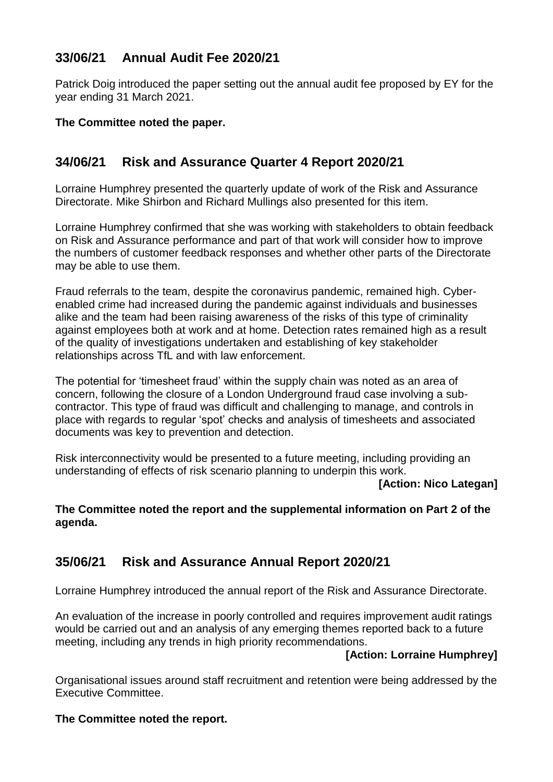# **33/06/21 Annual Audit Fee 2020/21**

Patrick Doig introduced the paper setting out the annual audit fee proposed by EY for the year ending 31 March 2021.

### **The Committee noted the paper.**

# **34/06/21 Risk and Assurance Quarter 4 Report 2020/21**

Lorraine Humphrey presented the quarterly update of work of the Risk and Assurance Directorate. Mike Shirbon and Richard Mullings also presented for this item.

Lorraine Humphrey confirmed that she was working with stakeholders to obtain feedback on Risk and Assurance performance and part of that work will consider how to improve the numbers of customer feedback responses and whether other parts of the Directorate may be able to use them.

Fraud referrals to the team, despite the coronavirus pandemic, remained high. Cyberenabled crime had increased during the pandemic against individuals and businesses alike and the team had been raising awareness of the risks of this type of criminality against employees both at work and at home. Detection rates remained high as a result of the quality of investigations undertaken and establishing of key stakeholder relationships across TfL and with law enforcement.

The potential for 'timesheet fraud' within the supply chain was noted as an area of concern, following the closure of a London Underground fraud case involving a subcontractor. This type of fraud was difficult and challenging to manage, and controls in place with regards to regular 'spot' checks and analysis of timesheets and associated documents was key to prevention and detection.

Risk interconnectivity would be presented to a future meeting, including providing an understanding of effects of risk scenario planning to underpin this work.

#### **[Action: Nico Lategan]**

### **The Committee noted the report and the supplemental information on Part 2 of the agenda.**

# **35/06/21 Risk and Assurance Annual Report 2020/21**

Lorraine Humphrey introduced the annual report of the Risk and Assurance Directorate.

An evaluation of the increase in poorly controlled and requires improvement audit ratings would be carried out and an analysis of any emerging themes reported back to a future meeting, including any trends in high priority recommendations.

### **[Action: Lorraine Humphrey]**

Organisational issues around staff recruitment and retention were being addressed by the Executive Committee.

### **The Committee noted the report.**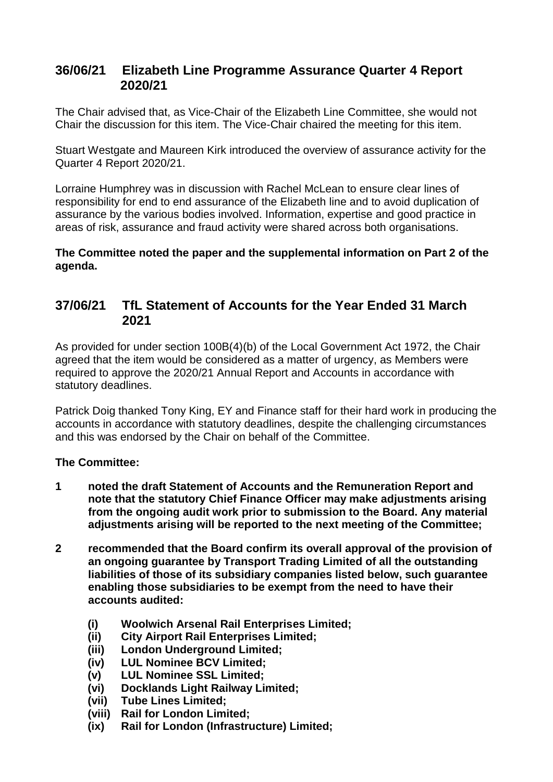## **36/06/21 Elizabeth Line Programme Assurance Quarter 4 Report 2020/21**

The Chair advised that, as Vice-Chair of the Elizabeth Line Committee, she would not Chair the discussion for this item. The Vice-Chair chaired the meeting for this item.

Stuart Westgate and Maureen Kirk introduced the overview of assurance activity for the Quarter 4 Report 2020/21.

Lorraine Humphrey was in discussion with Rachel McLean to ensure clear lines of responsibility for end to end assurance of the Elizabeth line and to avoid duplication of assurance by the various bodies involved. Information, expertise and good practice in areas of risk, assurance and fraud activity were shared across both organisations.

**The Committee noted the paper and the supplemental information on Part 2 of the agenda.**

## **37/06/21 TfL Statement of Accounts for the Year Ended 31 March 2021**

As provided for under section 100B(4)(b) of the Local Government Act 1972, the Chair agreed that the item would be considered as a matter of urgency, as Members were required to approve the 2020/21 Annual Report and Accounts in accordance with statutory deadlines.

Patrick Doig thanked Tony King, EY and Finance staff for their hard work in producing the accounts in accordance with statutory deadlines, despite the challenging circumstances and this was endorsed by the Chair on behalf of the Committee.

### **The Committee:**

- **1 noted the draft Statement of Accounts and the Remuneration Report and note that the statutory Chief Finance Officer may make adjustments arising from the ongoing audit work prior to submission to the Board. Any material adjustments arising will be reported to the next meeting of the Committee;**
- **2 recommended that the Board confirm its overall approval of the provision of an ongoing guarantee by Transport Trading Limited of all the outstanding liabilities of those of its subsidiary companies listed below, such guarantee enabling those subsidiaries to be exempt from the need to have their accounts audited:**
	- **(i) Woolwich Arsenal Rail Enterprises Limited;**
	- **(ii) City Airport Rail Enterprises Limited;**
	- **(iii) London Underground Limited;**
	- **(iv) LUL Nominee BCV Limited;**
	- **(v) LUL Nominee SSL Limited;**
	- **(vi) Docklands Light Railway Limited;**
	- **(vii) Tube Lines Limited;**
	- **(viii) Rail for London Limited;**
	- **(ix) Rail for London (Infrastructure) Limited;**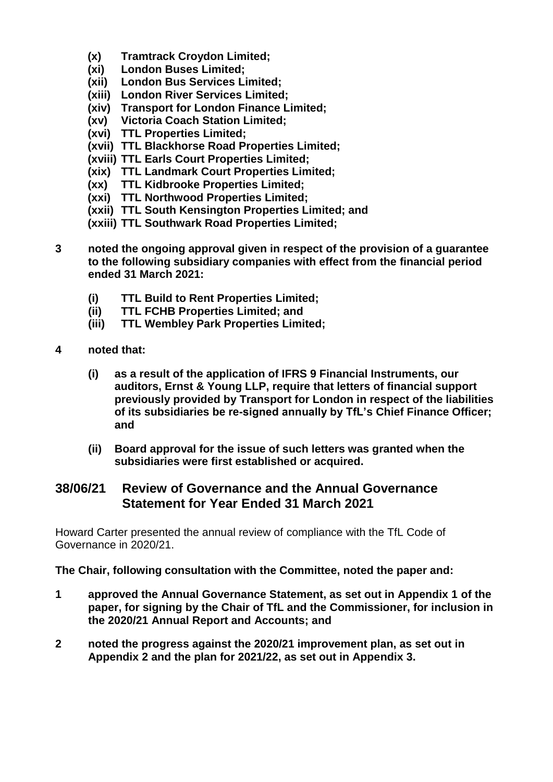- **(x) Tramtrack Croydon Limited;**
- **(xi) London Buses Limited;**
- **(xii) London Bus Services Limited;**
- **(xiii) London River Services Limited;**
- **(xiv) Transport for London Finance Limited;**
- **(xv) Victoria Coach Station Limited;**
- **(xvi) TTL Properties Limited;**
- **(xvii) TTL Blackhorse Road Properties Limited;**
- **(xviii) TTL Earls Court Properties Limited;**
- **(xix) TTL Landmark Court Properties Limited;**
- **(xx) TTL Kidbrooke Properties Limited;**
- **(xxi) TTL Northwood Properties Limited;**
- **(xxii) TTL South Kensington Properties Limited; and**
- **(xxiii) TTL Southwark Road Properties Limited;**
- **3 noted the ongoing approval given in respect of the provision of a guarantee to the following subsidiary companies with effect from the financial period ended 31 March 2021:**
	- **(i) TTL Build to Rent Properties Limited;**
	- **(ii) TTL FCHB Properties Limited; and**
	- **(iii) TTL Wembley Park Properties Limited;**
- **4 noted that:**
	- **(i) as a result of the application of IFRS 9 Financial Instruments, our auditors, Ernst & Young LLP, require that letters of financial support previously provided by Transport for London in respect of the liabilities of its subsidiaries be re-signed annually by TfL's Chief Finance Officer; and**
	- **(ii) Board approval for the issue of such letters was granted when the subsidiaries were first established or acquired.**

### **38/06/21 Review of Governance and the Annual Governance Statement for Year Ended 31 March 2021**

Howard Carter presented the annual review of compliance with the TfL Code of Governance in 2020/21.

**The Chair, following consultation with the Committee, noted the paper and:**

- **1 approved the Annual Governance Statement, as set out in Appendix 1 of the paper, for signing by the Chair of TfL and the Commissioner, for inclusion in the 2020/21 Annual Report and Accounts; and**
- **2 noted the progress against the 2020/21 improvement plan, as set out in Appendix 2 and the plan for 2021/22, as set out in Appendix 3.**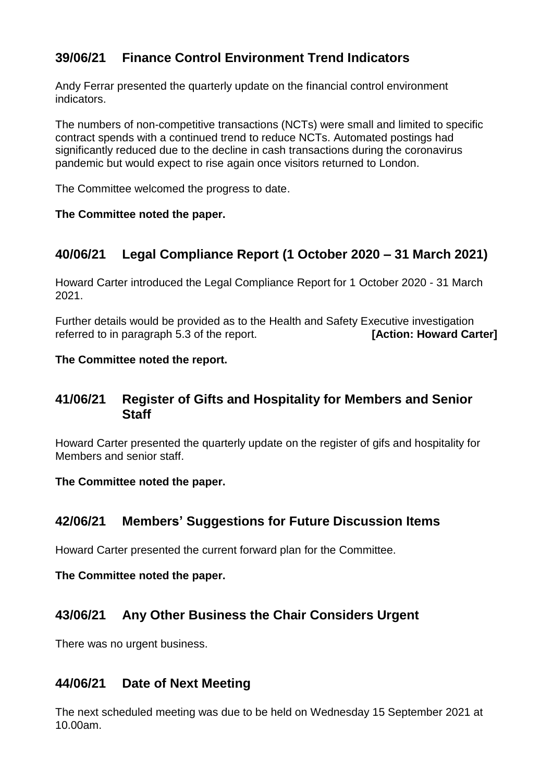# **39/06/21 Finance Control Environment Trend Indicators**

Andy Ferrar presented the quarterly update on the financial control environment indicators.

The numbers of non-competitive transactions (NCTs) were small and limited to specific contract spends with a continued trend to reduce NCTs. Automated postings had significantly reduced due to the decline in cash transactions during the coronavirus pandemic but would expect to rise again once visitors returned to London.

The Committee welcomed the progress to date.

### **The Committee noted the paper.**

# **40/06/21 Legal Compliance Report (1 October 2020 – 31 March 2021)**

Howard Carter introduced the Legal Compliance Report for 1 October 2020 - 31 March 2021.

Further details would be provided as to the Health and Safety Executive investigation referred to in paragraph 5.3 of the report. **[Action: Howard Carter]**

### **The Committee noted the report.**

## **41/06/21 Register of Gifts and Hospitality for Members and Senior Staff**

Howard Carter presented the quarterly update on the register of gifs and hospitality for Members and senior staff.

### **The Committee noted the paper.**

## **42/06/21 Members' Suggestions for Future Discussion Items**

Howard Carter presented the current forward plan for the Committee.

### **The Committee noted the paper.**

## **43/06/21 Any Other Business the Chair Considers Urgent**

There was no urgent business.

## **44/06/21 Date of Next Meeting**

The next scheduled meeting was due to be held on Wednesday 15 September 2021 at 10.00am.